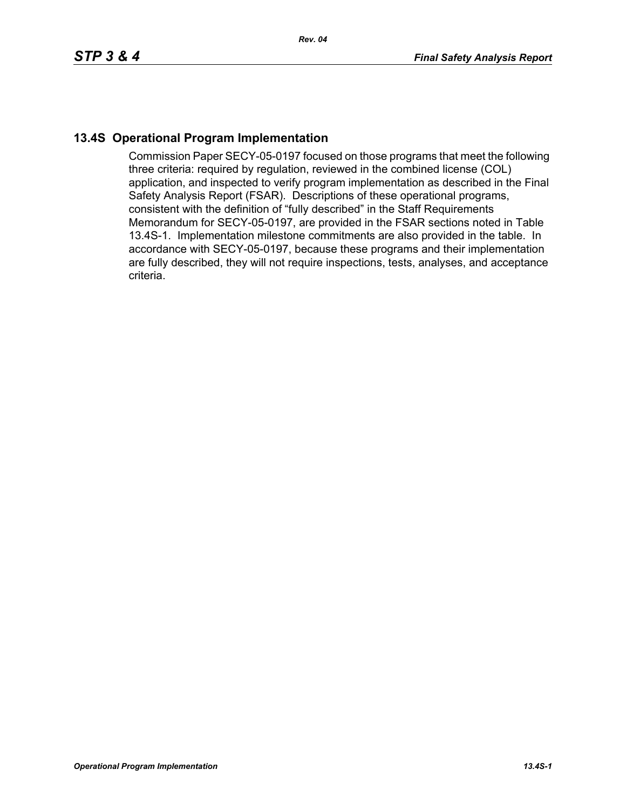## **13.4S Operational Program Implementation**

Commission Paper SECY-05-0197 focused on those programs that meet the following three criteria: required by regulation, reviewed in the combined license (COL) application, and inspected to verify program implementation as described in the Final Safety Analysis Report (FSAR). Descriptions of these operational programs, consistent with the definition of "fully described" in the Staff Requirements Memorandum for SECY-05-0197, are provided in the FSAR sections noted in Table 13.4S-1. Implementation milestone commitments are also provided in the table. In accordance with SECY-05-0197, because these programs and their implementation are fully described, they will not require inspections, tests, analyses, and acceptance criteria.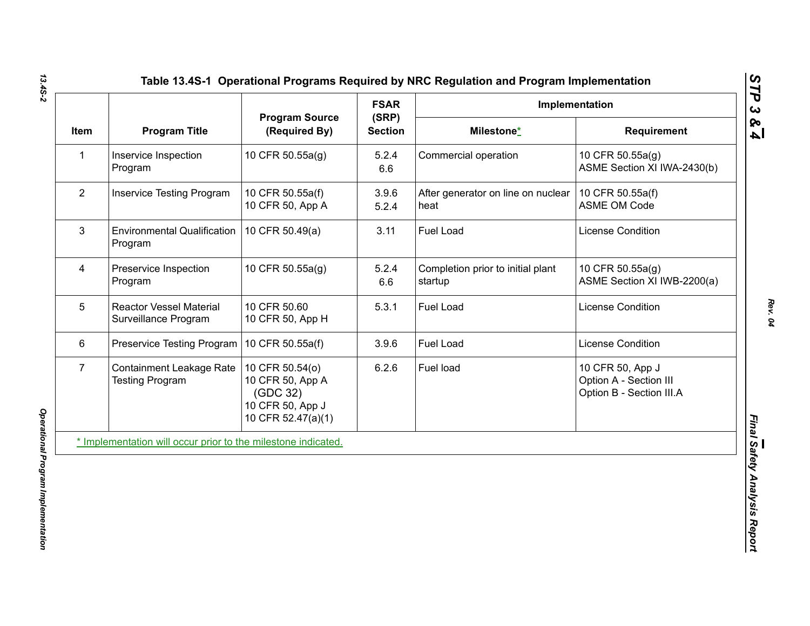|                |                                                               |                                                                                           | <b>FSAR</b>             | Implementation                               |                                                                        |
|----------------|---------------------------------------------------------------|-------------------------------------------------------------------------------------------|-------------------------|----------------------------------------------|------------------------------------------------------------------------|
| Item           | <b>Program Title</b>                                          | <b>Program Source</b><br>(Required By)                                                    | (SRP)<br><b>Section</b> | Milestone*                                   | Requirement                                                            |
| 1              | Inservice Inspection<br>Program                               | 10 CFR 50.55a(g)                                                                          | 5.2.4<br>6.6            | Commercial operation                         | 10 CFR 50.55a(g)<br>ASME Section XI IWA-2430(b)                        |
| $\overline{2}$ | <b>Inservice Testing Program</b>                              | 10 CFR 50.55a(f)<br>10 CFR 50, App A                                                      | 3.9.6<br>5.2.4          | After generator on line on nuclear<br>heat   | 10 CFR 50.55a(f)<br><b>ASME OM Code</b>                                |
| 3              | <b>Environmental Qualification</b><br>Program                 | 10 CFR 50.49(a)                                                                           | 3.11                    | Fuel Load                                    | License Condition                                                      |
| 4              | Preservice Inspection<br>Program                              | 10 CFR 50.55a(g)                                                                          | 5.2.4<br>6.6            | Completion prior to initial plant<br>startup | 10 CFR 50.55a(g)<br>ASME Section XI IWB-2200(a)                        |
| 5              | <b>Reactor Vessel Material</b><br>Surveillance Program        | 10 CFR 50.60<br>10 CFR 50, App H                                                          | 5.3.1                   | Fuel Load                                    | License Condition                                                      |
| 6              | Preservice Testing Program                                    | 10 CFR 50.55a(f)                                                                          | 3.9.6                   | Fuel Load                                    | License Condition                                                      |
| 7 <sup>1</sup> | <b>Containment Leakage Rate</b><br><b>Testing Program</b>     | 10 CFR 50.54(o)<br>10 CFR 50, App A<br>(GDC 32)<br>10 CFR 50, App J<br>10 CFR 52.47(a)(1) | 6.2.6                   | Fuel load                                    | 10 CFR 50, App J<br>Option A - Section III<br>Option B - Section III.A |
|                | * Implementation will occur prior to the milestone indicated. |                                                                                           |                         |                                              |                                                                        |

*13.4S-2*

*Rev. 04*

*STP 3 & 4*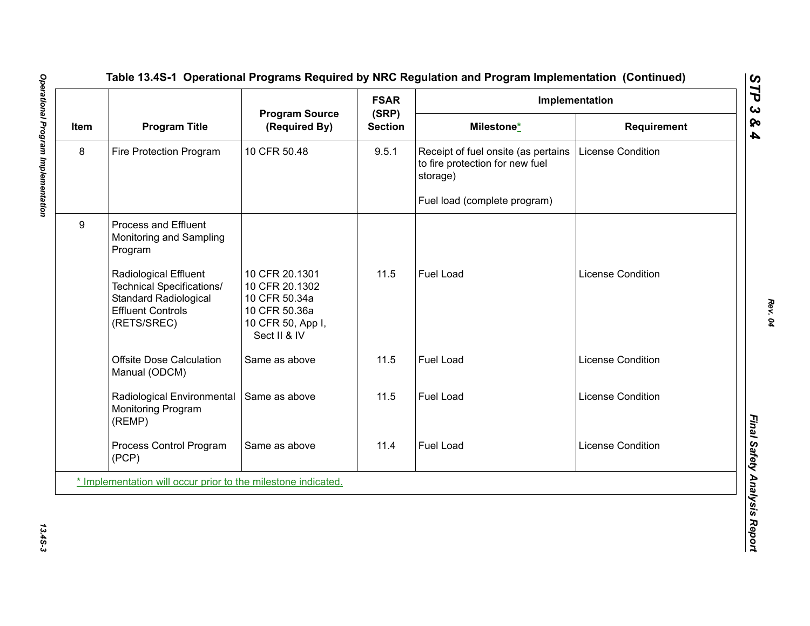|      |                                                                                                                               | <b>Program Source</b><br>(Required By)                                                                  | <b>FSAR</b><br>(SRP)<br><b>Section</b> | Implementation                                                                     |                          |  |
|------|-------------------------------------------------------------------------------------------------------------------------------|---------------------------------------------------------------------------------------------------------|----------------------------------------|------------------------------------------------------------------------------------|--------------------------|--|
| Item | <b>Program Title</b>                                                                                                          |                                                                                                         |                                        | Milestone*                                                                         | <b>Requirement</b>       |  |
| 8    | Fire Protection Program                                                                                                       | 10 CFR 50.48                                                                                            | 9.5.1                                  | Receipt of fuel onsite (as pertains<br>to fire protection for new fuel<br>storage) | <b>License Condition</b> |  |
|      |                                                                                                                               |                                                                                                         |                                        | Fuel load (complete program)                                                       |                          |  |
| 9    | Process and Effluent<br>Monitoring and Sampling<br>Program                                                                    |                                                                                                         |                                        |                                                                                    |                          |  |
|      | Radiological Effluent<br>Technical Specifications/<br><b>Standard Radiological</b><br><b>Effluent Controls</b><br>(RETS/SREC) | 10 CFR 20.1301<br>10 CFR 20.1302<br>10 CFR 50.34a<br>10 CFR 50.36a<br>10 CFR 50, App I,<br>Sect II & IV | 11.5                                   | Fuel Load                                                                          | License Condition        |  |
|      | <b>Offsite Dose Calculation</b><br>Manual (ODCM)                                                                              | Same as above                                                                                           | 11.5                                   | <b>Fuel Load</b>                                                                   | License Condition        |  |
|      | Radiological Environmental<br>Monitoring Program<br>(REMP)                                                                    | Same as above                                                                                           | 11.5                                   | Fuel Load                                                                          | <b>License Condition</b> |  |
|      | Process Control Program<br>(PCP)                                                                                              | Same as above                                                                                           | 11.4                                   | Fuel Load                                                                          | License Condition        |  |
|      | * Implementation will occur prior to the milestone indicated.                                                                 |                                                                                                         |                                        |                                                                                    |                          |  |

13.45-3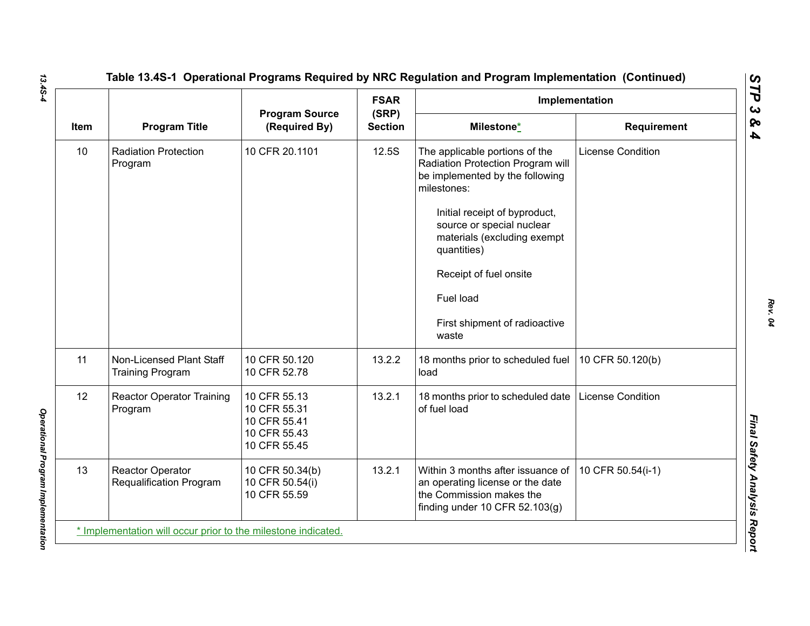|      |                                                     | <b>Program Source</b>                                                        |                         | Implementation                                                                                                                                                                                                                                                                                                     |                          |
|------|-----------------------------------------------------|------------------------------------------------------------------------------|-------------------------|--------------------------------------------------------------------------------------------------------------------------------------------------------------------------------------------------------------------------------------------------------------------------------------------------------------------|--------------------------|
| Item | <b>Program Title</b>                                | (Required By)                                                                | (SRP)<br><b>Section</b> | Milestone*                                                                                                                                                                                                                                                                                                         | <b>Requirement</b>       |
| 10   | <b>Radiation Protection</b><br>Program              | 10 CFR 20.1101                                                               | 12.5S                   | The applicable portions of the<br>Radiation Protection Program will<br>be implemented by the following<br>milestones:<br>Initial receipt of byproduct,<br>source or special nuclear<br>materials (excluding exempt<br>quantities)<br>Receipt of fuel onsite<br>Fuel load<br>First shipment of radioactive<br>waste | <b>License Condition</b> |
| 11   | Non-Licensed Plant Staff<br><b>Training Program</b> | 10 CFR 50.120<br>10 CFR 52.78                                                | 13.2.2                  | 18 months prior to scheduled fuel<br>load                                                                                                                                                                                                                                                                          | 10 CFR 50.120(b)         |
| 12   | <b>Reactor Operator Training</b><br>Program         | 10 CFR 55.13<br>10 CFR 55.31<br>10 CFR 55.41<br>10 CFR 55.43<br>10 CFR 55.45 | 13.2.1                  | 18 months prior to scheduled date<br>of fuel load                                                                                                                                                                                                                                                                  | <b>License Condition</b> |
| 13   | <b>Reactor Operator</b><br>Requalification Program  | 10 CFR 50.34(b)<br>10 CFR 50.54(i)<br>10 CFR 55.59                           | 13.2.1                  | Within 3 months after issuance of<br>an operating license or the date<br>the Commission makes the<br>finding under 10 CFR $52.103(g)$                                                                                                                                                                              | 10 CFR 50.54(i-1)        |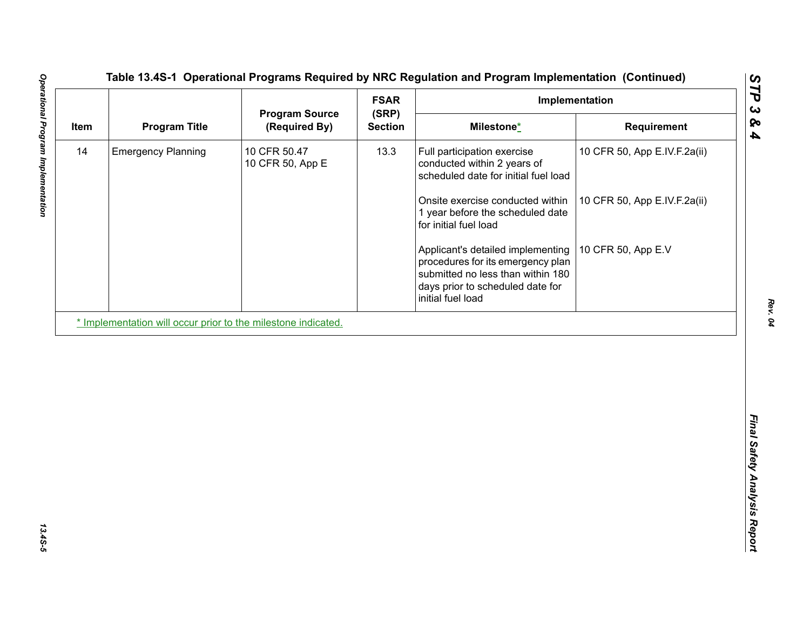| <b>Program Title</b><br>(Required By)<br><b>Section</b><br>Milestone*<br>Requirement<br><b>Emergency Planning</b><br>10 CFR 50.47<br>13.3<br>10 CFR 50, App E.IV.F.2a(ii)<br>Full participation exercise<br>10 CFR 50, App E<br>conducted within 2 years of<br>scheduled date for initial fuel load<br>Onsite exercise conducted within<br>10 CFR 50, App E.IV.F.2a(ii)<br>1 year before the scheduled date<br>for initial fuel load<br>10 CFR 50, App E.V<br>Applicant's detailed implementing<br>procedures for its emergency plan<br>submitted no less than within 180<br>days prior to scheduled date for<br>initial fuel load | Item<br>14<br>* Implementation will occur prior to the milestone indicated. |  | <b>Program Source</b> | <b>FSAR</b><br>(SRP) | Implementation |  |  |
|------------------------------------------------------------------------------------------------------------------------------------------------------------------------------------------------------------------------------------------------------------------------------------------------------------------------------------------------------------------------------------------------------------------------------------------------------------------------------------------------------------------------------------------------------------------------------------------------------------------------------------|-----------------------------------------------------------------------------|--|-----------------------|----------------------|----------------|--|--|
|                                                                                                                                                                                                                                                                                                                                                                                                                                                                                                                                                                                                                                    |                                                                             |  |                       |                      |                |  |  |
|                                                                                                                                                                                                                                                                                                                                                                                                                                                                                                                                                                                                                                    |                                                                             |  |                       |                      |                |  |  |
|                                                                                                                                                                                                                                                                                                                                                                                                                                                                                                                                                                                                                                    |                                                                             |  |                       |                      |                |  |  |
|                                                                                                                                                                                                                                                                                                                                                                                                                                                                                                                                                                                                                                    |                                                                             |  |                       |                      |                |  |  |
|                                                                                                                                                                                                                                                                                                                                                                                                                                                                                                                                                                                                                                    |                                                                             |  |                       |                      |                |  |  |
|                                                                                                                                                                                                                                                                                                                                                                                                                                                                                                                                                                                                                                    |                                                                             |  |                       |                      |                |  |  |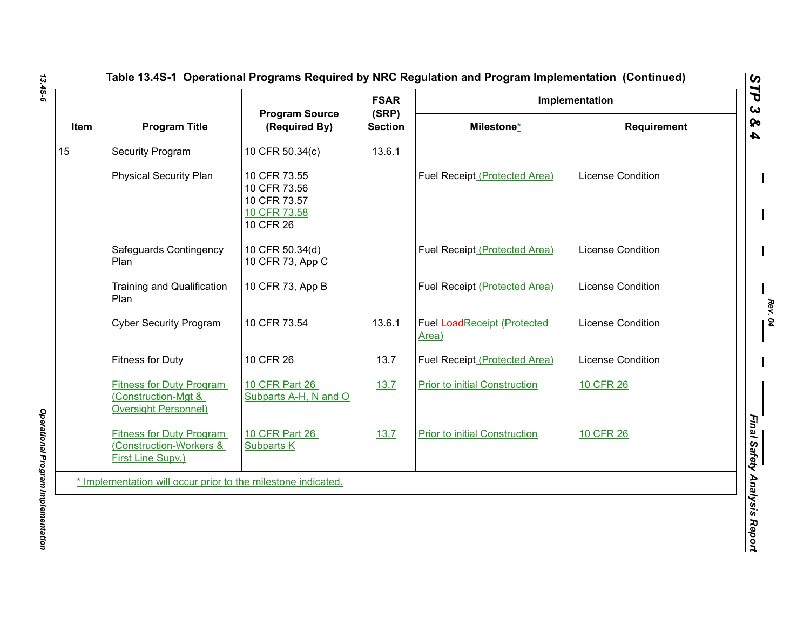|      | <b>Program Title</b>                                                                  | <b>Program Source</b><br>(Required By)                                    | <b>FSAR</b><br>(SRP)<br><b>Section</b> | Implementation                       |                          |
|------|---------------------------------------------------------------------------------------|---------------------------------------------------------------------------|----------------------------------------|--------------------------------------|--------------------------|
| Item |                                                                                       |                                                                           |                                        | Milestone*                           | <b>Requirement</b>       |
| 15   | <b>Security Program</b>                                                               | 10 CFR 50.34(c)                                                           | 13.6.1                                 |                                      |                          |
|      | <b>Physical Security Plan</b>                                                         | 10 CFR 73.55<br>10 CFR 73.56<br>10 CFR 73.57<br>10 CFR 73.58<br>10 CFR 26 |                                        | Fuel Receipt (Protected Area)        | <b>License Condition</b> |
|      | Safeguards Contingency<br>Plan                                                        | 10 CFR 50.34(d)<br>10 CFR 73, App C                                       |                                        | Fuel Receipt (Protected Area)        | <b>License Condition</b> |
|      | <b>Training and Qualification</b><br>Plan                                             | 10 CFR 73, App B                                                          |                                        | Fuel Receipt (Protected Area)        | <b>License Condition</b> |
|      | <b>Cyber Security Program</b>                                                         | 10 CFR 73.54                                                              | 13.6.1                                 | Fuel LoadReceipt (Protected<br>Area) | <b>License Condition</b> |
|      | <b>Fitness for Duty</b>                                                               | 10 CFR 26                                                                 | 13.7                                   | Fuel Receipt (Protected Area)        | <b>License Condition</b> |
|      | <b>Fitness for Duty Program</b><br>(Construction-Mgt &<br><b>Oversight Personnel)</b> | 10 CFR Part 26<br>Subparts A-H, N and O                                   | 13.7                                   | <b>Prior to initial Construction</b> | <b>10 CFR 26</b>         |
|      | <b>Fitness for Duty Program</b><br>(Construction-Workers &<br>First Line Supv.)       | 10 CFR Part 26<br><b>Subparts K</b>                                       | 13.7                                   | <b>Prior to initial Construction</b> | 10 CFR 26                |
|      | * Implementation will occur prior to the milestone indicated.                         |                                                                           |                                        |                                      |                          |